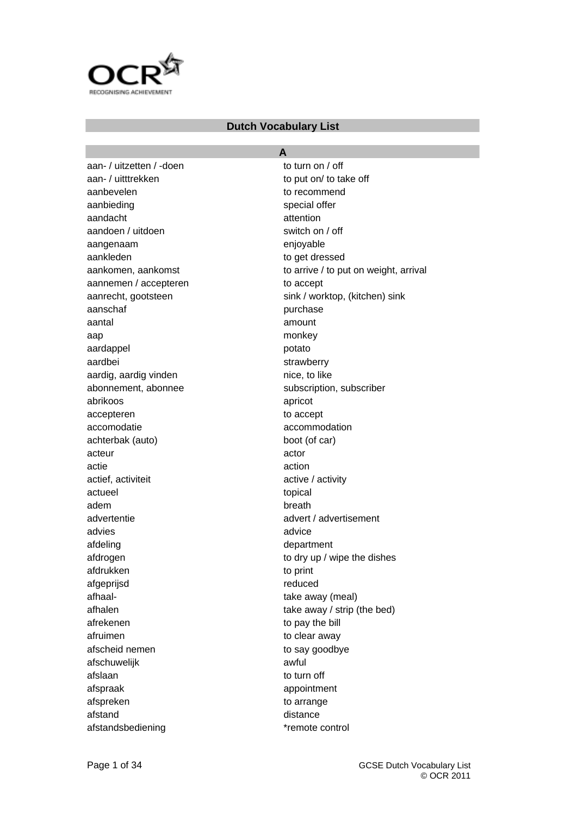

### **Dutch Vocabulary List**

aan- / uitzetten / -doen to turn on / off aan- / uitttrekken to put on/ to take off aanbevelen aanbevelen to recommend aanbieding special offer aandacht aandacht attention aandoen / uitdoen switch on / off aangenaam enjoyable aankleden to get dressed aannemen / accepteren to accept aanschaf purchase purchase aantal amount aap monkey aardappel **potato** aardbei strawberry aardig, aardig vinden nice, to like abonnement, abonnee subscription, subscriber abrikoos apricot accepteren to accept accomodatie accommodation achterbak (auto) boot (of car) acteur actor actie action actief, activiteit active / activity actueel topical topical adem breath advertentie advert / advertisement advies and advice afdeling department afdrukken to print afgeprijsd reduced afhaal- take away (meal) afrekenen to pay the bill afruimen to clear away afscheid nemen to say goodbye afschuwelijk awful afslaan to turn off afspraak appointment afspreken to arrange afstand distance afstandsbediening extending the standard state of the state of the state of the state of the state of the state of the state of the state of the state of the state of the state of the state of the state of the state of the

**A**  aankomen, aankomst to arrive / to put on weight, arrival aanrecht, gootsteen sink / worktop, (kitchen) sink afdrogen to dry up / wipe the dishes afhalen take away / strip (the bed)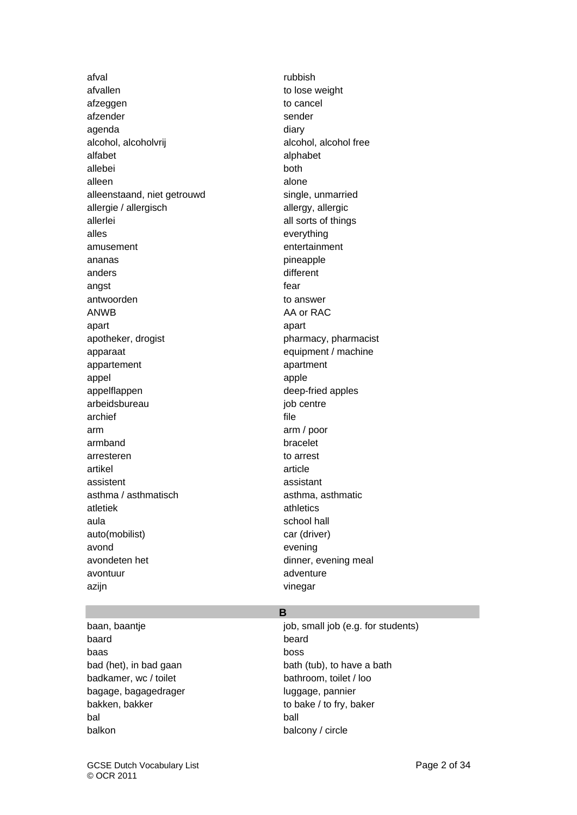afval rubbish afvallen to lose weight afzeggen to cancel afzender afzender sender sender sender sender sender sender sender sender sender sender sender sender sender s agenda diary diary diary alcohol, alcoholvrij alcohol, alcohol free alfabet alphabet allebei both alleen and a structure alone alleenstaand, niet getrouwd single, unmarried allergie / allergisch allergy, allergic allerlei aller all sorts of things alles everything amusement entertainment ananas pineapple anders different angst fear that the contract of the contract of the contract of the contract of the contract of the contract of the contract of the contract of the contract of the contract of the contract of the contract of the contract o antwoorden to answer ANWB AA or RAC apart apart apotheker, drogist pharmacy, pharmacist apparaat equipment / machine appartement appartment appel apple apple apple apple appelflappen deep-fried apples arbeidsbureau iob centre archief file arm arm / poor armband bracelet arresteren to arrest artikel article assistent assistant asthma / asthmatisch asthma, asthmatic atletiek athletics athletics aula school hall and school hall auto(mobilist) car (driver) avond evening avondeten het dinner, evening meal avontuur adventure adventure azijn vinegar

### **B**

baard baard beard beard beard baard baard baard baard baard baard baard baard baard baard baard baard baard ba baas boss badkamer, wc / toilet bathroom, toilet / loo bagage, bagagedrager luggage, pannier bakken, bakker to bake / to fry, baker bal ball balkon balcony / circle

baan, baantje is in the students of the small job (e.g. for students) bad (het), in bad gaan bath (tub), to have a bath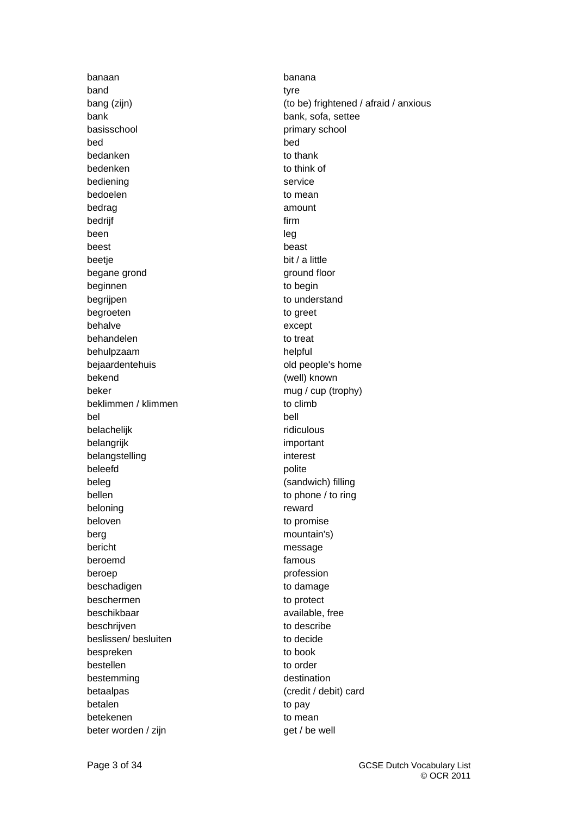banaan banana band tyre that the set of the set of the set of the set of the set of the set of the set of the set of the set o bank bank, sofa, settee basisschool **primary school** bed bed bedanken to thank bedenken to think of bediening service bedoelen to mean to mean bedrag amount bedrijf firm firm **firm** been leg and the state of the state of the state of the state of the state of the state of the state of the sta beest beast beast beast beast beast beast beast beast beast beast  $\sim$ beetje bit / a little begane grond ground floor beginnen to begin begrijpen to understand begroeten to greet behalve except behandelen to treat behulpzaam helpful bejaardentehuis old people's home bekend (well) known beker mug / cup (trophy) beklimmen / klimmen to climb bel bell belachelijk ridiculous belangrijk important belangstelling interest beleefd polite beleg beleg (sandwich) filling bellen to phone / to ring beloning reward beloven to promise berg mountain's) bericht message beroemd famous beroep profession beschadigen to damage to damage beschermen to protect beschikbaar available, free beschrijven to describe beslissen/ besluiten to decide bespreken to book bestellen to order bestemming destination betaalpas (credit / debit) card betalen to pay betekenen to mean to mean beter worden / zijn get / be well

bang (zijn) (to be) frightened / afraid / anxious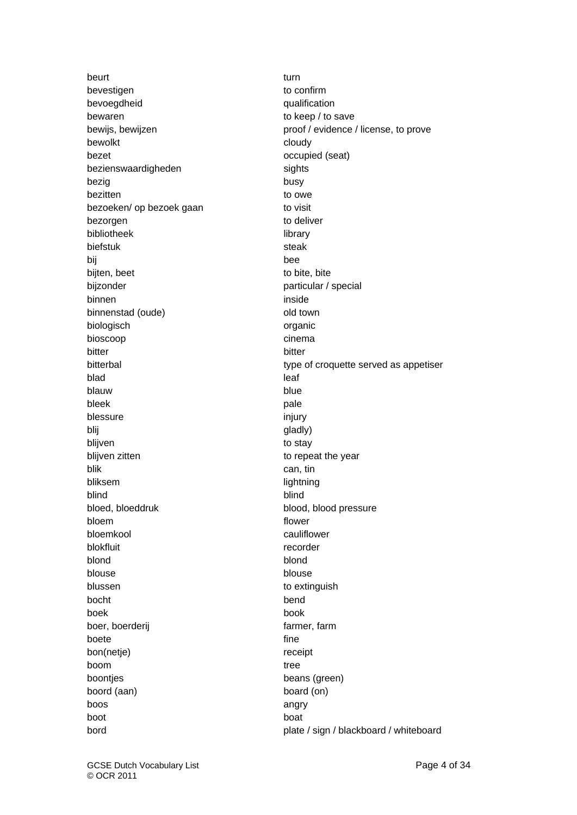beurt turn and the set of the set of the set of the set of the set of the set of the set of the set of the set bevestigen to confirm bevoegdheid qualification bewaren to keep / to save bewolkt cloudy bezet **bezet** occupied (seat) bezienswaardigheden sights bezig best busy bezitten to owe bezoeken/ op bezoek gaan to visit bezorgen to deliver bibliotheek library biefstuk steak steak bij bee bijten, beet to bite, bite bijzonder particular / special binnen inside binnenstad (oude) binnenstad (oude) biologisch **organic** bioscoop cinema bitter bitter bitter bitter bitter bitter bitter bitter bitter bitter bitter bitter bitter bitter bitter bitte blad leaf and the state of the state of the state of the state of the state of the state of the state of the s blauw blue blue blue bleek **pale** blessure injury blij gladly) blijven blijven blijven blijven blijven blijven blijven blijven blijven blijven blijven blijven blijven blijve blijven zitten to repeat the year blik can, tin bliksem lightning blind blind bloed, bloeddruk blood, blood pressure bloem flower bloemkool cauliflower blokfluit recorder blond blond blouse blouse blouse blussen to extinguish bocht bend boek book boer, boerderij farmer, farmer, farmer, farmer, farmer, farmer, farmer, farmer, farmer, farmer, farm boete fine bon(netje) receipt boom tree boontjes boontjes beans (green) boord (aan) board (on) boos angry boot boat

bewijs, bewijzen proof / evidence / license, to prove bitterbal bitterbal type of croquette served as appetiser bord **plate / sign / blackboard / whiteboard**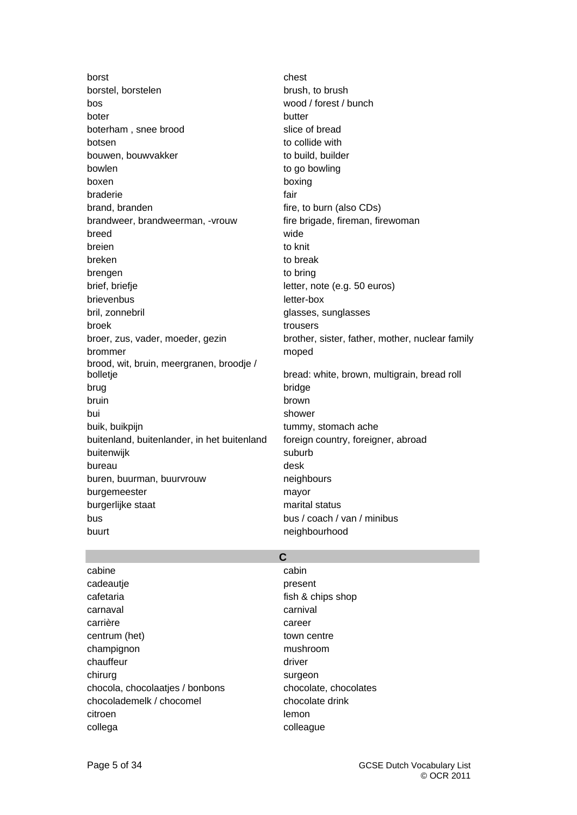borst chest chest chest borstel, borstelen brush, to brush, to brush bos wood / forest / bunch boter butter butter boterham, snee brood slice of bread botsen to collide with bouwen, bouwvakker to build, builder bowlen to go bowling boxen boxing braderie fair brand, branden fire, to burn (also CDs) brandweer, brandweerman, -vrouw fire brigade, fireman, firewoman breed wide breien to knit breken to break to break brengen to bring brief, briefje letter, note (e.g. 50 euros) brievenbus letter-box bril, zonnebril and a series of the state glasses, sunglasses broek trousers brommer moped brood, wit, bruin, meergranen, broodje / brug bridge bruin brown bui shower buik, buikpijn tummy, stomach ache buitenland, buitenlander, in het buitenland foreign country, foreigner, abroad buitenwijk suburb bureau desk buren, buurman, buurvrouw neighbours burgemeester mayor burgerlijke staat marital status bus bus / coach / van / minibus buurt neighbourhood buurt neighbourhood

broer, zus, vader, moeder, gezin brother, sister, father, mother, nuclear family bolletje bread: white, brown, multigrain, bread roll

### **C**

| cabine                          | cabin                 |
|---------------------------------|-----------------------|
| cadeautje                       | present               |
| cafetaria                       | fish & chips shop     |
| carnaval                        | carnival              |
| carrière                        | career                |
| centrum (het)                   | town centre           |
| champignon                      | mushroom              |
| chauffeur                       | driver                |
| chirurg                         | surgeon               |
| chocola, chocolaatjes / bonbons | chocolate, chocolates |
| chocolademelk / chocomel        | chocolate drink       |
| citroen                         | lemon                 |
| collega                         | colleague             |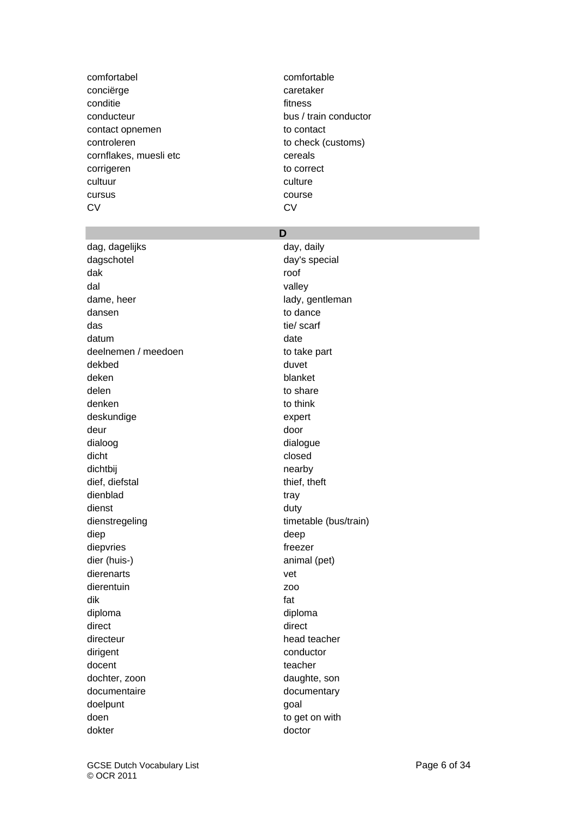comfortabel comfortable conciërge concière caretaker conditie extensive fitness conducteur bus / train conductor contact opnemen to contact controleren to check (customs) cornflakes, muesli etc cereals corrigeren to correct cultuur cultuur cultuur cultuur cultuur cultuur cultuur cultuur cultuur cultuur cultuur cultuur cultuur cultuur cursus course CV CV

dag, dagelijks day, daily dagschotel day's special dak roof dal valley dame, heer lady, gentleman dansen to dance das tie/ scarf datum date date of the control of the control of the control of the control of the control of the control of the control of the control of the control of the control of the control of the control of the control of the cont deelnemen / meedoen to take part dekbed duvet duvet deken blanket delen to share to share denken to think deskundige expert deur door dialoog dialoog dialoog dialoog dialoog dialoog dialoog dialoog dialoog dialoog dialoog dialoog dialoog dialoog dialoog dialoog dialoog dialoog dialoog dialoog dialoog dialoog dialoog dialoog dialoog dialoog dialoog dialoo dicht closed dichtbij nearby nearby dief, diefstal thief, theft dienblad tray dienst duty dienstregeling timetable (bus/train) diep die bestelling om die bestelling die bestelling om die bestelling om die bestelling om die bestelling om diepvries freezer dier (huis-) animal (pet) dierenarts vet dierentuin zoo dik fat diploma diploma direct direct direct direct direct direct direct direct direct direct direct direct direct direct direct  $\sim$ directeur head teacher dirigent conductor docent teacher dochter, zoon daughte, son documentaire documentary doelpunt goal doen to get on with dokter doctor

### **D**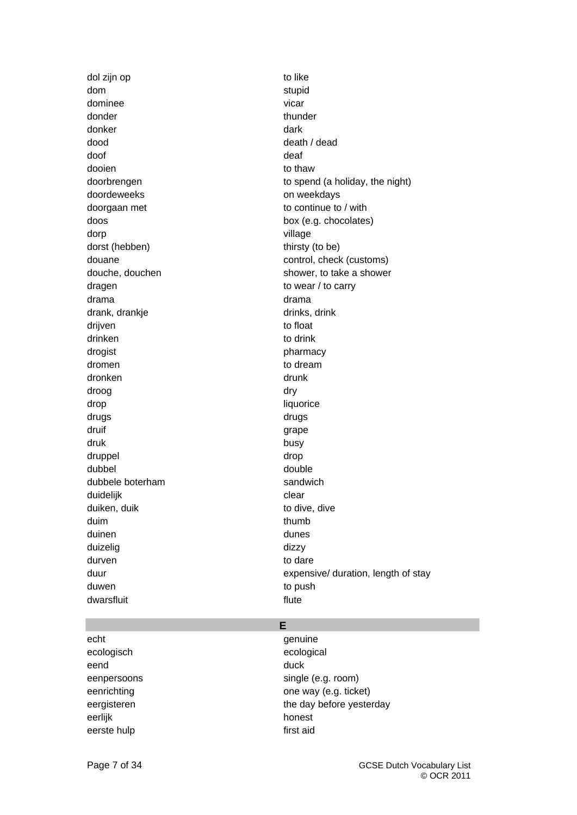dol zijn op to like dom stupid dominee vicar vicar vicar donder thunder thunder donker dark dood death / dead doof deaf dooien to thaw doordeweeks on weekdays doorgaan met to continue to / with doos box (e.g. chocolates) dorp village dorst (hebben) thirsty (to be) dragen dragen to wear / to carry drama drama drank, drankje drinks, drinks, drinks, drinks, drinks, drinks, drinks, drinks, drinks, drinks, drink drijven to float drinken to drink drogist **pharmacy** dromen to dream to dream dronken drunk droog dry drop liquorice drugs drugs druif grape and the contract of the contract of the contract of the contract of the contract of the contract of the contract of the contract of the contract of the contract of the contract of the contract of the contract o druk busy druppel drop dubbel double dubbele boterham sandwich duidelijk clear duiken, duik to dive, dive duim thumb duinen duinen duinen duinen duinen duinen duinen duinen duinen duinen duinen duinen duinen duinen duinen duine duizelig dizzy durven to dare the contract of the dare to dare the dare to dare the contract of the contract of the dare to dare the contract of the contract of the contract of the contract of the contract of the contract of the contract duwen to push to push to push to push to push to push to push to push to push to push to push to push to push to push to push to push to push to push to push to push to push to push to push to push to push to push to push dwarsfluit expression of the state of the state of the state of the state of the state of the state of the state of the state of the state of the state of the state of the state of the state of the state of the state of th

doorbrengen to spend (a holiday, the night) douane douane control, check (customs) douche, douchen shower, to take a shower duur duur expensive/ duration, length of stay

echt genuine ecologisch ecological eend duck and duck a series of the series of the series of the series of the series of the series of the series eerlijk honest eerste hulp first aid

### **E**

eenpersoons single (e.g. room) eenrichting **one** way (e.g. ticket) eergisteren the day before yesterday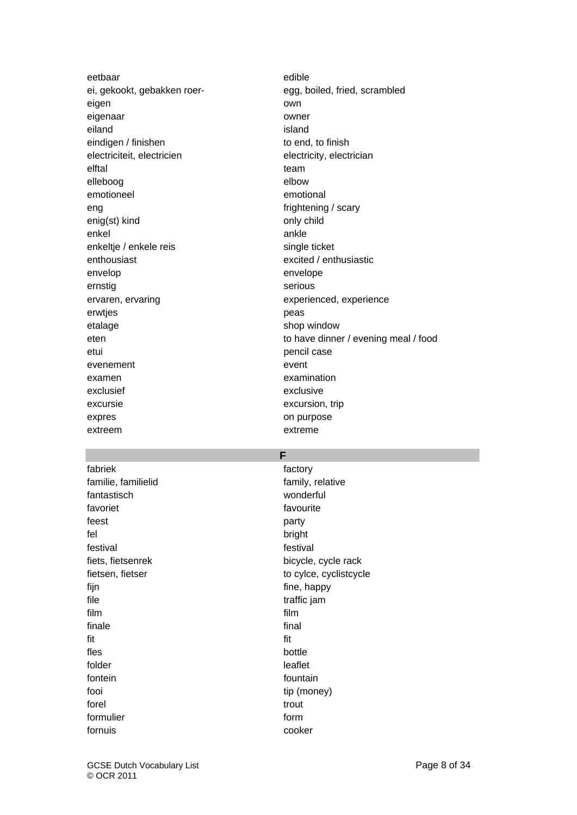eetbaar edible eigen own eigenaar owner eiland island island is a structure of the structure of the structure of the structure of the structure of the structure of the structure of the structure of the structure of the structure of the structure of the structure eindigen / finishen to end, to finish electriciteit, electricien electricity, electrician elftal team and the state of the state of the state of the state of the state of the state of the state of the elleboog elbow emotioneel emotional eng frightening / scary enig(st) kind only child enkel ankle enkeltje / enkele reis single ticket enthousiast enthousiast excited / enthusiastic envelop envelope ernstig serious ervaren, ervaring experienced, experience erwtjes **peas** etalage shop window etui pencil case evenement event examen examination exclusief exclusive excursie excursion, trip expres on purpose extreem extreme

ei, gekookt, gebakken roer-<br>
egg, boiled, fried, scrambled eten to have dinner / evening meal / food

### **F**

fabriek factory **factory** familie, familielid family, relative fantastisch wonderful favoriet **favourite** feest party fel bright festival festival fiets, fietsenrek bicycle, cycle rack fijn fijn fine, happy file traffic jam film film finale final fit fit fles bottle folder leaflet fontein fountain fountain fooi tip (money) forel trout trout that the state of the state of the state of the state of the state of the state of the state formulier form fornuis cooker

fietsen, fietser to cylce, cyclistcycle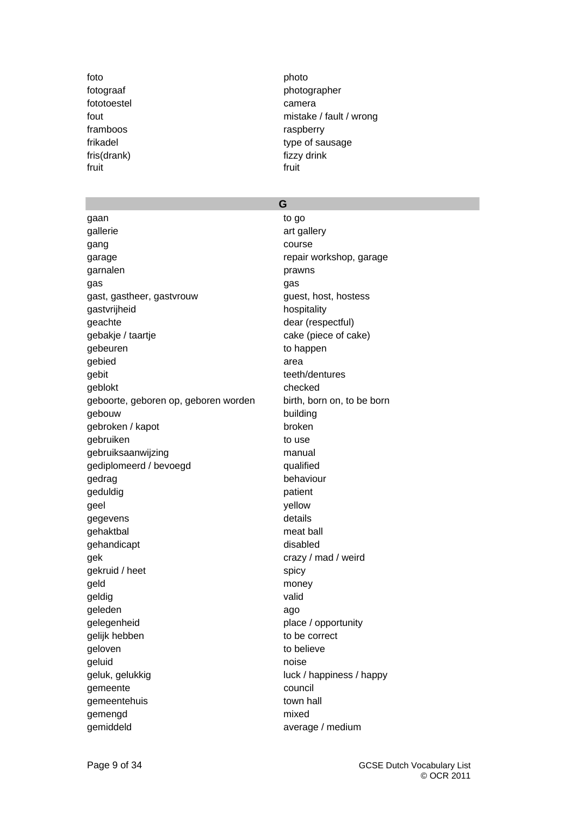foto **photo** fototoestel camera framboos raspberry fris(drank) fizzy drink fruit fruit

# fotograaf photographer fout mistake / fault / wrong frikadel type of sausage

# **G**

gaan to go and the go and the go and the go and the go and the go and the go and the go and the go and the go gallerie art gallery gang course course garage **repair workshop**, garage garnalen **prawns** gas gas gast, gastheer, gastvrouw example and guest, host, hostess gastvrijheid hospitality geachte dear (respectful) gebakje / taartje cake (piece of cake) gebeuren and to happen gebied area area gebit teeth/dentures geblokt checked geboorte, geboren op, geboren worden birth, born on, to be born gebouw building gebroken / kapot broken gebruiken and to use to use gebruiksaanwijzing manual gediplomeerd / bevoegd qualified gedrag behaviour geduldig patient geel vellow gegevens and the settlement of the settlement of the settlement of the settlement of the settlement of the set gehaktbal meat ball gehandicapt disabled gek crazy / mad / weird gekruid / heet spicy geld money geldig valid geleden ago gelegenheid place / opportunity gelijk hebben to be correct geloven to believe geluid and a contract of the contract of the contract of the contract of the contract of the contract of the contract of the contract of the contract of the contract of the contract of the contract of the contract of the c geluk, gelukkig luck / happiness / happy gemeente council gemeentehuis town hall gemengd mixed gemiddeld average / medium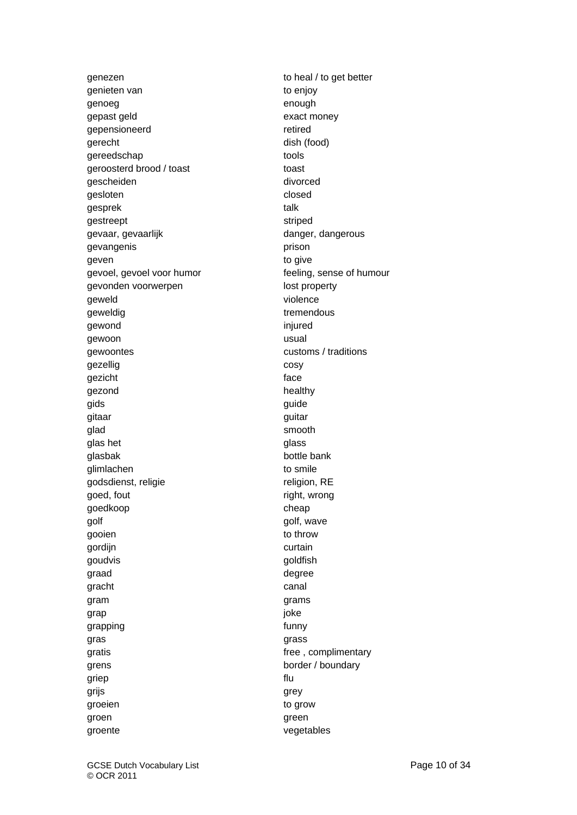genieten van to enjoy genoeg enough gepast geld exact money gepensioneerd retired gerecht dish (food) gereedschap tools tools geroosterd brood / toast toast toast gescheiden divorced gesloten and a closed closed gesprek talk gestreept striped gevaar, gevaarlijk danger, dangerous gevangenis **prison** geven to give gevoel, gevoel voor humor feeling, sense of humour gevonden voorwerpen aan deur de lost property geweld violence geweldig extensive tremendous gewond injured in the set of the set of the set of the set of the set of the set of the set of the set of the set of the set of the set of the set of the set of the set of the set of the set of the set of the set of the se gewoon **usual** gewoontes customs / traditions gezellig cosy gezicht face gezond healthy gids guide guide guide guide guide guide guide guide guide guide guide guide guide guide guide guide guide guide g gitaar guitar guitar guitar guitar guitar guitar guitar guitar guitar guitar guitar guitar guitar guitar guitar glad smooth glas het glass of the glass of the glass of the glass of the glass of the glass of the glass of the glass of the glass of the glass of the glass of the glass of the glass of the glass of the glass of the glass of the glass glasbak bottle bank glimlachen to smile godsdienst, religie religion, RE goed, fout and the right, wrong goedkoop cheap cheap golf golf, wave gooien to throw gordijn curtain goudvis **goudvis** goldfish graad degree gracht canal gram grams and grams grams grams grams grams grams grams grams grams grams grams grams grams grams grams grams grap in the set of the set of the set of the set of the set of the set of the set of the set of the set of the grapping and the state of the state of the state of the state of the state of the state of the state of the state of the state of the state of the state of the state of the state of the state of the state of the state of t gras grass gratis **gratis gratis gratis free**, complimentary grens border / boundary griep flu grijs grey op de eerste greek op de grey op de greek om de greek op de greek om de greek om de greek om de gr groeien to grow to grow groen groen green groen groen groen groen groen groen groen groen groen groen groen groen groen groen groen gro groente vegetables

genezen to heal / to get better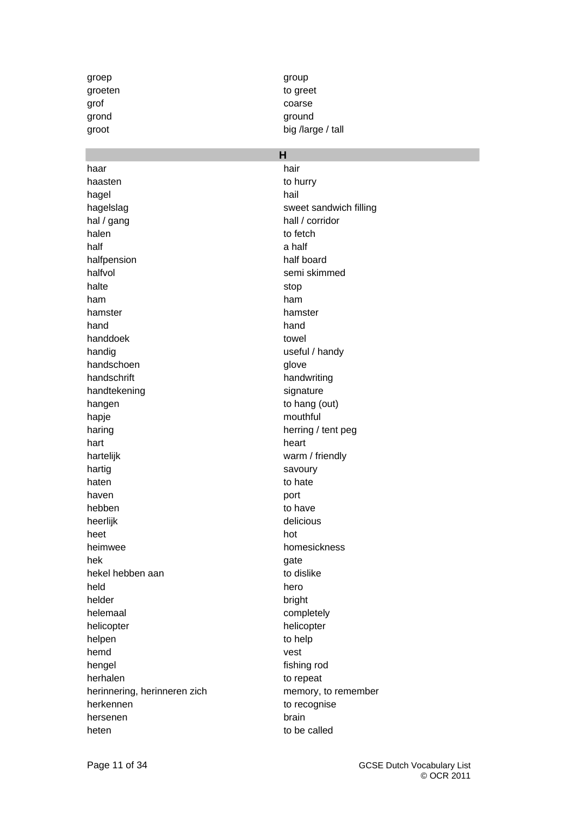haar hair haasten to hurry hagel **hail** hagelslag sweet sandwich filling hal / gang hall / corridor halen to fetch the to fetch to fetch the to fetch the to fetch the to fetch the to fetch the to fetch the to fetch the to fetch the to fetch the to fetch the to fetch the to fetch the to fetch the to fetch the to fetch the half a half a half a half a half a half a half a half a half a half a half a half a half a half a half a half halfpension half board halfvol between the semi skimmed halte stop and the stop stop stop ham ham hamster hamster hand hand handdoek towel handig bandig band bandig band bandig bandig bandig bandig bandig bandig bandig bandig bandig bandig bandig bandig bandig bandig bandig bandig bandig bandig bandig bandig bandig bandig bandig bandig bandig bandig bandig ba handschoen glove handschrift handwriting handtekening signature signature hangen to hang (out) hapje mouthful haring haring haring herring / tent peg hart hart heart heart heart heart heart heart heart heart heart heart heart heart heart heart heart heart heart hartelijk warm / friendly hartig savoury haten to hate haven **blue** port hebben to have to have heerlijk delicious heet hot heimwee homesickness hek and a strong gate gate hekel hebben aan to dislike held hero helder bright helemaal completely helicopter helicopter helpen to help hemd vest hengel fishing rod herhalen to repeat herinnering, herinneren zich memory, to remember herkennen to recognise hersenen brain brain brain heten to be called

groep group group groeten to greet grof coarse grond ground ground ground ground ground ground ground ground ground ground ground ground ground ground ground  $\sim$ groot big /large / tall

### **H**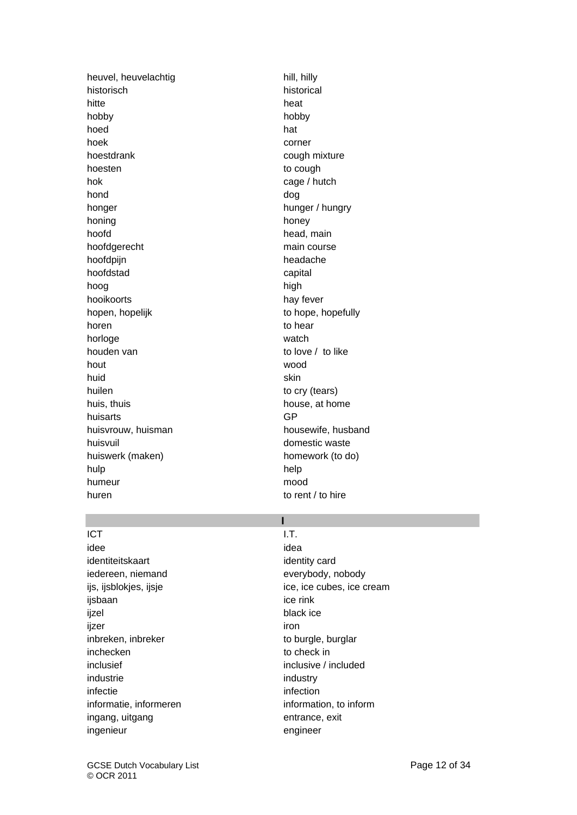heuvel, heuvelachtig hill, hilly historisch historical hitte heat and the heat and the heat hobby hobby hoed **hoed hat** hoek corner hoestdrank cough mixture hoesten to cough to cough to cough to cough to cough to cough to cough to cough to cough to cough to cough to cough to cough to cough to cough to cough to cough to cough to cough to cough to cough to cough to cough to coug hok cage / hutch hond dog and dog and dog and dog and dog and dog and dog and dog and dog and dog and dog and dog and dog and d honger honger hunger / hungry honing honey honey hoofd hoofd head, main hoofdgerecht main course hoofdpijn headache hoofdstad capital hoog hoog high hooikoorts hay fever hopen, hopelijk to hope, hopefully horen to hear to hear horloge watch houden van to love / to like hout wood and the second wood wood and the second wood wood and the second wood second wood second wood second huid skin huilen to cry (tears) huis, thuis house, at home huisarts GP huisvrouw, huisman housewife, husband huisvuil buisvuil buisvuil buisvuil buisvuil buisvuil buisvuil buisvuil buisvuil buisvuil buisvuil buisvuil bu<br>Danmarkunnan kuningas konstantineeri kuningas konstantineeri kuningas konstantineeri kuningas konstantineeri k huiswerk (maken) homework (to do) hulp help humeur mood huren to rent / to hire

# **I**

ICT SERVICES IN THE U.S. SERVICES IN THE U.S. SERVICES IN THE U.S. S. S. L.T. idee idea is a state of the state of the state of the state of the state of the state of the state of the state identiteitskaart identity card iedereen, niemand everybody, nobody ijsbaan istorbook is a street in the rink of the rink ijzel black ice ijzer iron in de staat de staat in de staat in de staat in de staat in de staat in de staat in de staat in de<br>De staat in de staat in de staat in de staat in de staat in de staat in de staat in de staat in de staat in de inbreken, inbreker to burgle, burglar inchecken to check in inclusief inclusive / included industrie industry infectie infection informatie, informeren information, to information, to inform ingang, uitgang entrance, exit ingenieur engineer

ijs, ijsblokjes, ijsje ice, ice cubes, ice cream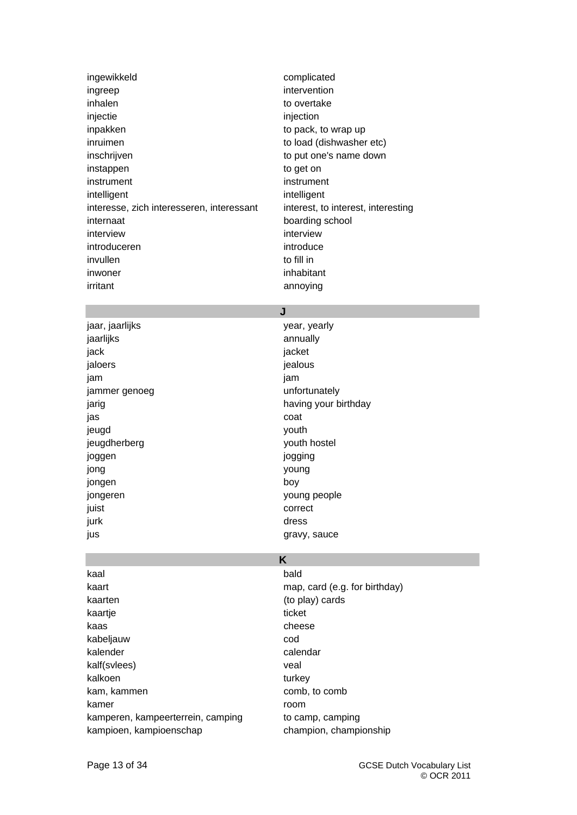| ingewikkeld                               | complicated                        |
|-------------------------------------------|------------------------------------|
| ingreep                                   | intervention                       |
| inhalen                                   | to overtake                        |
| injectie                                  | injection                          |
| inpakken                                  | to pack, to wrap up                |
| inruimen                                  | to load (dishwasher etc)           |
| inschrijven                               | to put one's name down             |
| instappen                                 | to get on                          |
| instrument                                | instrument                         |
| intelligent                               | intelligent                        |
| interesse, zich interesseren, interessant | interest, to interest, interesting |
| internaat                                 | boarding school                    |
| interview                                 | interview                          |
| introduceren                              | introduce                          |
| invullen                                  | to fill in                         |
| inwoner                                   | inhabitant                         |
| irritant                                  | annoying                           |
|                                           |                                    |

### **J**

jaar, jaarlijks van die verstaan van die verstaan van die verstaan van die verstaan van die verstaan van die v jaarlijks annually jack jacket jaloers in the set of the set of the set of the set of the set of the set of the set of the set of the set of the set of the set of the set of the set of the set of the set of the set of the set of the set of the set of th jam jam jammer genoeg van die verskilling van die verskilling van die verskilling van die verskilling van die verskill jas coat jeugd youth and youth youth the set of the set of the set of the set of the set of the set of the set of the set of the set of the set of the set of the set of the set of the set of the set of the set of the set of the set jeugdherberg vouth hostel joggen jogging jong young jongen boy jongeren young people juist correct jurk dress and the state of the state of the state of the state of the state of the state of the state of the s jus **gravy**, sauce

jarig having your birthday

# **K**

| kaal                              | bald                        |
|-----------------------------------|-----------------------------|
| kaart                             | map, card (e.g. for birthda |
| kaarten                           | (to play) cards             |
| kaartje                           | ticket                      |
| kaas                              | cheese                      |
| kabeljauw                         | cod                         |
| kalender                          | calendar                    |
| kalf(svlees)                      | veal                        |
| kalkoen                           | turkey                      |
| kam, kammen                       | comb, to comb               |
| kamer                             | room                        |
| kamperen, kampeerterrein, camping | to camp, camping            |
| kampioen, kampioenschap           | champion, championship      |
|                                   |                             |

map, card (e.g. for birthday) (to play) cards ticket cheese calendar turkey comb, to comb room to camp, camping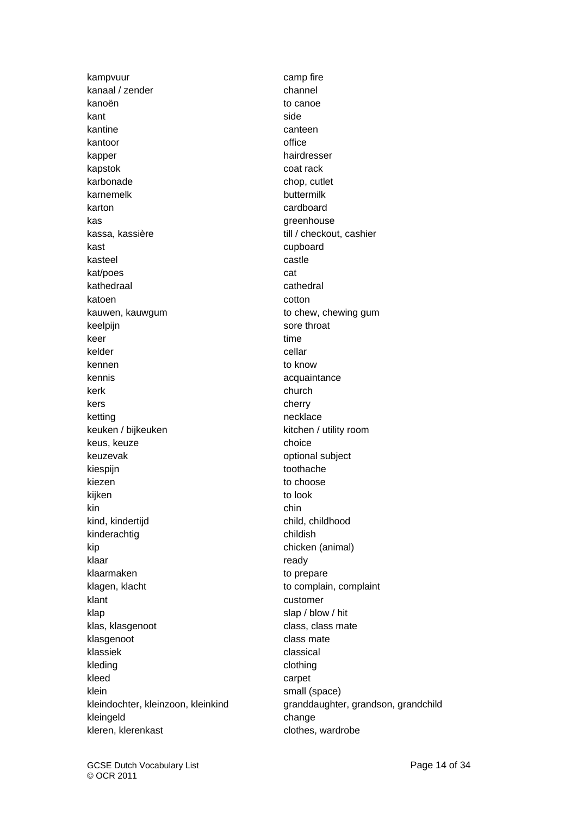kampvuur camp fire kanaal / zender channel kanoën to canoe kant side was a side side of the side side side kantine canteen kantoor office kapper hairdresser kapstok en die eerste van die verskapstok oor die verskap van die verskap van die verskap van die verskap van d karbonade chop, cutlet karnemelk buttermilk karton eta aldere araboard eta aldere araboard eta aldere araboard eta aldere araboard eta aldere araboard eta kas greenhouse kassa, kassière till / checkout, cashier kast cupboard cupboard kasteel **castle** kat/poes cat kathedraal cathedral cathedral katoen cotton control and control control control control control control control control control control control control control control control control control control control control control control control control cont kauwen, kauwgum to chew, chewing gum keelpijn sore throat keer time kelder and cellar cellar kennen to know kennis acquaintance kerk church church church church church church church church church church church church church church church kers cherry ketting necklace keuken / bijkeuken kitchen / utility room keus, keuze choice choice keuzevak **optional** subject kiespijn toothache kiezen die beste besteht die eine to choose to choose kijken to look kin chin kind, kindertijd child, childhood kinderachtig childish kip chicken (animal) klaar ready and the state of the state of the state of the state and the state of the state of the state of the state of the state of the state of the state of the state of the state of the state of the state of the state klaarmaken to prepare klagen, klacht to complain, complaint klant customer klap slap / blow / hit klas, klasgenoot class, class mate klasgenoot class mate klassiek en die eine verschieden die eine staat die eine verschieden die eine verschieden die eine verschieden kleding clothing clothing kleed carpet klein small (space) kleingeld change kleren, klerenkast clothes, wardrobe

kleindochter, kleinzoon, kleinkind granddaughter, grandson, grandchild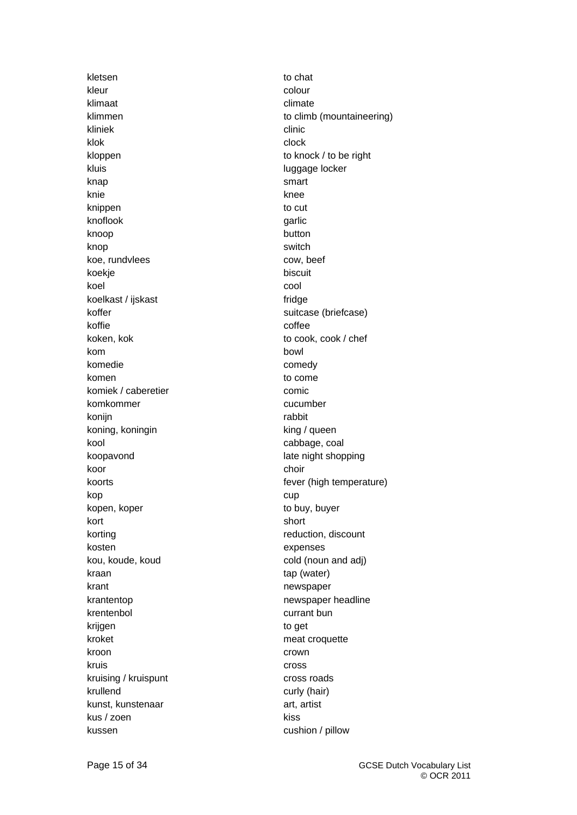kletsen to chat to chat kleur colour klimaat climate kliniek eta alternativ eta alternativ eta alternativ eta alternativ eta alternativ eta alternativ eta alternativ klok et al. et al. et al. et al. et al. et al. et al. et al. et al. et al. et al. et al. et al. et al. et al. kloppen to knock / to be right kluis luggage locker knap smart knie knee knippen to cut knoflook garlic knoop button button knop switch koe, rundvlees cow, beef koekje biscuit koel cool koelkast / ijskast fridge koffer suitcase (briefcase) koffie coffee koken, kok to cook, cook / chef kom bowl komedie comedy komen to come to come komiek / caberetier comic komkommer cucumber konijn rabbit koning, koningin king / queen kool cabbage, coal koopavond late night shopping koor choir choir choir choir kop and a state of the cup cup kopen, koper to buy, buyer kort short short short short short short short short short short short short short short short short short sho korting **reduction**, discount kosten expenses kou, koude, koud cold (noun and adj) kraan tap (water) krant **heta** is a straight newspaper krantentop newspaper headline krentenbol currant bun krijgen to get kroket meat croquette kroon and crown crown crown kruis cross and cross and cross and cross and cross and cross and cross and cross and cross and cross and cros kruising / kruispunt cross roads krullend curly (hair) kunst, kunstenaar art, artist kus / zoen kiss kussen cushion / pillow

klimmen to climb (mountaineering) koorts **fever** (high temperature)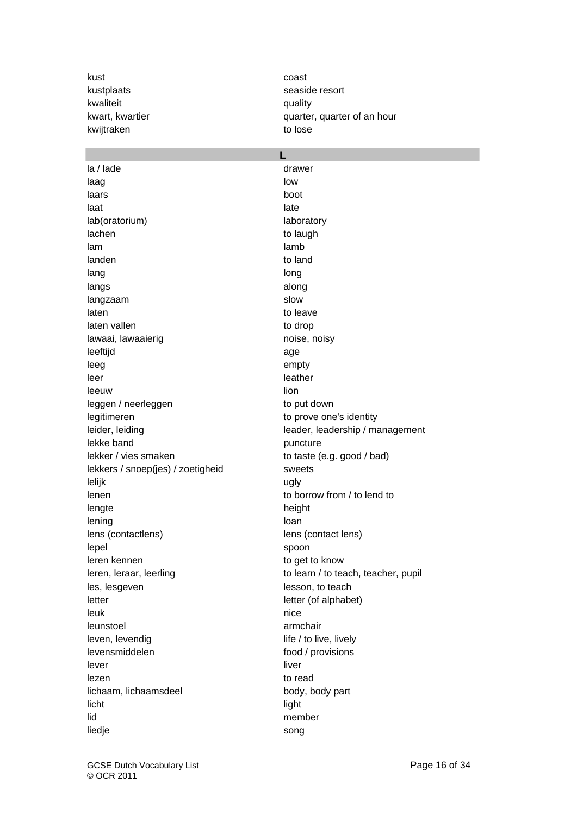kust coast kustplaats seaside resort kwaliteit **blue** cuality kwijtraken to lose

la / lade drawer laag low low low low laars boot laat ka kale ka side ka side ka side ka side ka side ka side ka side ka side ka side ka side ka side ka side k lab(oratorium) laboratory lachen to laugh to laugh to laugh to laugh to laugh to laugh to laugh to laugh to laugh to laugh to laugh to laugh to laugh to laugh to laugh to laugh to laugh to laugh to laugh to laugh to laugh to laugh to laugh to laugh lam **lamburga ang panglalamburga ang pang**lamburga ang panglalamburga ang panglalamburga ang panglalamburga ang landen to land lang long and long and long long langs along along along along along along along along along along along along along along along along along along along along along along along along along along along along along along along along along along along along langzaam slow laten to leave laten vallen to drop lawaai, lawaaierig noise, noisy leeftijd age aan de aander wat de aander de aander de aander van de aander van de aander van de aander van de leeg empty leer leather leather leeuw **leeuw** and the state of the state of the state of the state of the state of the state of the state of the leggen / neerleggen to put down legitimeren to prove one's identity lekke band puncture lekker / vies smaken to taste (e.g. good / bad) lekkers / snoep(jes) / zoetigheid sweets lelijk ugly lenen to borrow from / to lend to lengte height lening loan and the loan loan board of the loan lens (contactlens) lens (contact lens) lepel spoon leren kennen to get to know les, lesgeven lesson, to teach letter letter (of alphabet) leuk **nice** leunstoel armchair armchair leven, levendig life / to live, lively levensmiddelen food / provisions lever and the state of the state of the liver lezen to read lichaam, lichaamsdeel body, body part licht light lid member liedje song

kwart, kwartier **contact and the set of an intervalse and the set of an hour** quarter, quarter of an hour

### **L**

leider, leiding leader, leadership / management leren, leraar, leerling to learn / to teach, teacher, pupil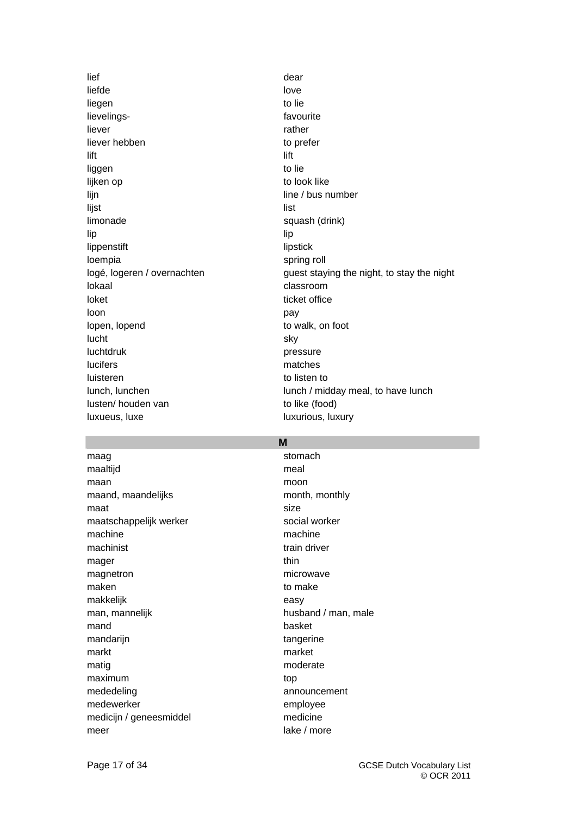lief dear and the dear dear and the dear dear dear and the dear dear and the dear dear dear dear dear dear dea liefde love love and love love liegen to lie lievelings-<br>
favourite liever **rather** liever hebben to prefer lift **lift** liggen to lie lijken op to look like lijn line / bus number lijst liet in de oorlog van de oorlog van de oorlog van de oorlog van de oorlog van de oorlog van de oorlog va limonade squash (drink) lip lip lippenstift lipstick loempia spring roll lokaal classroom loket ticket office loon **pay** lopen, lopend to walk, on foot lucht sky luchtdruk **pressure** lucifers matches luisteren to listen to listen to listen to listen to listen to listen to listen to listen to listen to listen to  $\sim$ lusten/ houden van to like (food) luxueus, luxe luxurious, luxury

# logé, logeren / overnachten guest staying the night, to stay the night lunch, lunchen lunch / midday meal, to have lunch

### **M**

maag stomach and stomach maaltijd meal maan moon moon moon moon maand, maandelijks month, monthly maat size maatschappelijk werker social worker machine machine machine machinist train driver mager thin the state of the state of the state of the state of the state of the state of the state of the state of the state of the state of the state of the state of the state of the state of the state of the state of the magnetron microwave maken to make the make the make the make the make the make the make the make the make the make the make the ma makkelijk easy man, mannelijk husband / man, male mand basket mandarijn tangerine markt market matig moderate moderate maximum top mededeling announcement medewerker employee medicijn / geneesmiddel medicine meer lake / more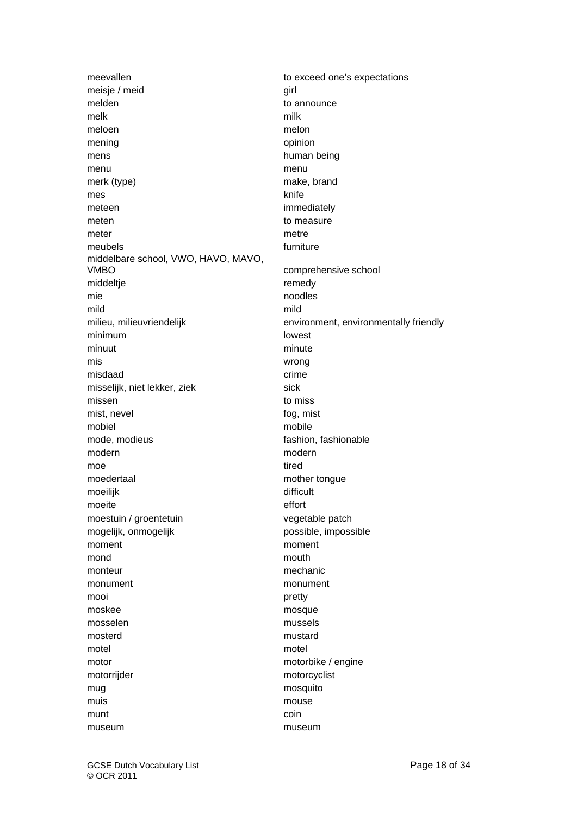meisje / meid girl melden to announce melk milk meloen melon mening opinion mens human being menu menu merk (type) make, brand mes knife meteen immediately meten to measure to measure meter meter and the meter metre meubels **furniture** furniture middelbare school, VWO, HAVO, MAVO, VMBO comprehensive school middeltje **remedy** remedy mie aangesteld van die noodles noodles mild mild milieu, milieuvriendelijk environment, environmentally friendly minimum lowest minuut minute mis wrong misdaad crime crime crime misselijk, niet lekker, ziek sick sick missen to missen mist, nevel fog, mist mobiel mobile mobile mode, modieus fashion, fashionable modern modern modern modern modern modern modern modern modern modern modern modern modern modern modern moder moe tired that the state of the state of the state of the state of the state of the state of the state of the s moedertaal moeter mother tongue moeilijk difficult moeite effort moestuin / groentetuin vegetable patch mogelijk, onmogelijk possible, impossible moment moment mond **mouth** mouth monteur mechanic monument monument mooi **pretty** moskee mosque mosselen mussels mosterd mustard mustard motel motel motor motorbike / engine motorrijder motorcyclist mug mosquito muis mouse mouse munt coin museum **museum** museum

meevallen to exceed one's expectations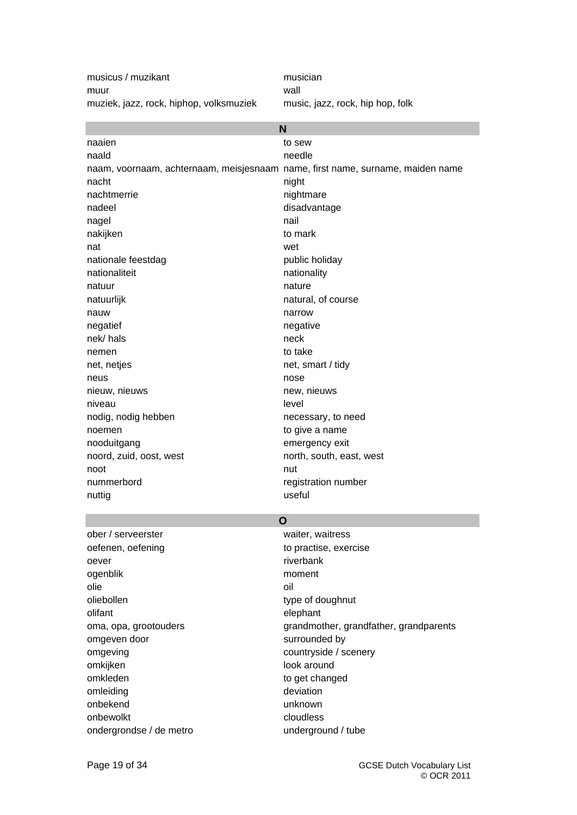musicus / muzikant musician muur wall muziek, jazz, rock, hiphop, volksmuziek music, jazz, rock, hip hop, folk

| N                                                                              |                          |  |  |
|--------------------------------------------------------------------------------|--------------------------|--|--|
| naaien                                                                         | to sew                   |  |  |
| naald                                                                          | needle                   |  |  |
| naam, voornaam, achternaam, meisjesnaam name, first name, surname, maiden name |                          |  |  |
| nacht                                                                          | night                    |  |  |
| nachtmerrie                                                                    | nightmare                |  |  |
| nadeel                                                                         | disadvantage             |  |  |
| nagel                                                                          | nail                     |  |  |
| nakijken                                                                       | to mark                  |  |  |
| nat                                                                            | wet                      |  |  |
| nationale feestdag                                                             | public holiday           |  |  |
| nationaliteit                                                                  | nationality              |  |  |
| natuur                                                                         | nature                   |  |  |
| natuurlijk                                                                     | natural, of course       |  |  |
| nauw                                                                           | narrow                   |  |  |
| negatief                                                                       | negative                 |  |  |
| nek/hals                                                                       | neck                     |  |  |
| nemen                                                                          | to take                  |  |  |
| net, netjes                                                                    | net, smart / tidy        |  |  |
| neus                                                                           | nose                     |  |  |
| nieuw, nieuws                                                                  | new, nieuws              |  |  |
| niveau                                                                         | level                    |  |  |
| nodig, nodig hebben                                                            | necessary, to need       |  |  |
| noemen                                                                         | to give a name           |  |  |
| nooduitgang                                                                    | emergency exit           |  |  |
| noord, zuid, oost, west                                                        | north, south, east, west |  |  |
| noot                                                                           | nut                      |  |  |
| nummerbord                                                                     | registration number      |  |  |
| nuttig                                                                         | useful                   |  |  |
|                                                                                | O                        |  |  |

### **O**

ober / serveerster waiter, waitress oefenen, oefening to practise, exercise oever extended to the control of the control of the control of the control of the control of the control of the control of the control of the control of the control of the control of the control of the control of the contr ogenblik moment olie oil oliebollen type of doughnut olifant elephant omgeven door surrounded by omgeving countryside / scenery omkijken look around omkleden to get changed omleiding deviation onbekend unknown onbewolkt cloudless ondergrondse / de metro underground / tube

oma, opa, grootouders extending the grandmother, grandfather, grandparents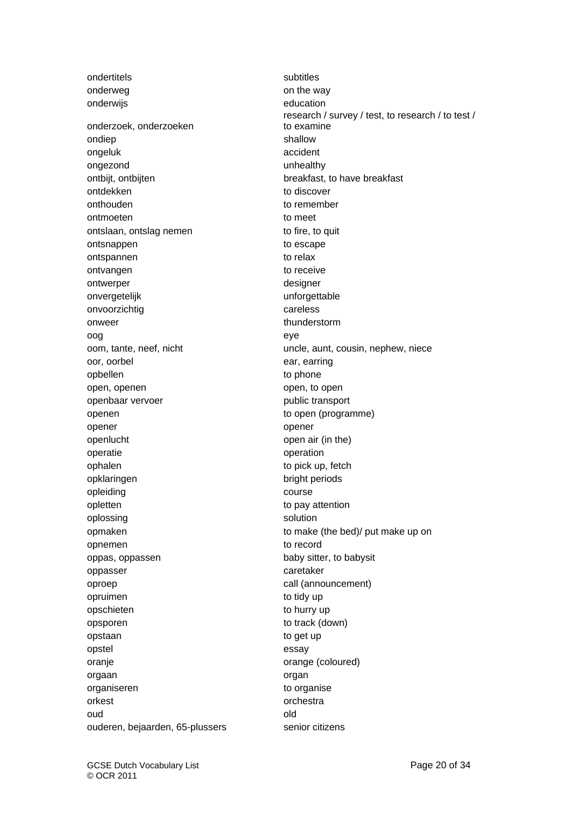ondertitels subtitles onderweg on the way onderwijs education onderzoek, onderzoeken ondiep shallow shallow ongeluk accident ongezond unhealthy ontbijt, ontbijten breakfast, to have breakfast ontdekken to discover onthouden to remember ontmoeten to meet ontslaan, ontslag nemen to fire, to quit ontsnappen to escape ontspannen to relax ontvangen to receive ontwerper designer onvergetelijk unforgettable onvoorzichtig careless onweer thunderstorm thunderstorm oog eye oor, oorbel ear, earring opbellen to phone open, openen open, to open, to open openbaar vervoer van die verstelling van die public transport openen to open (programme) opener opener openlucht open air (in the) operatie operation ophalen to pick up, fetch opklaringen bright periods opleiding course course opletten to pay attention oplossing solution opnemen to record oppas, oppassen baby sitter, to babysit oppasser caretaker oproep call (announcement) opruimen to tidy up opschieten to hurry up opsporen to track (down) opstaan to get up opstel essay oranje orange (coloured) orgaan organ organiseren to organise orkest or the contract of the contract of the contract of the contract of the contract of the contract of the contract of the contract of the contract of the contract of the contract of the contract of the contract of the oud and old a series of the series of the series of the series of the series of the series of the series of th ouderen, bejaarden, 65-plussers senior citizens

research / survey / test, to research / to test / to examine oom, tante, neef, nicht uncle, aunt, cousin, nephew, niece opmaken to make (the bed)/ put make up on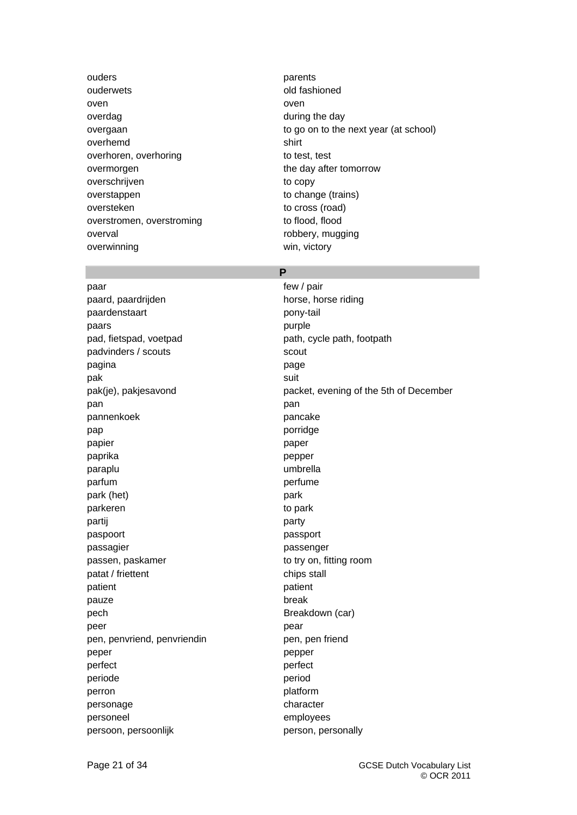ouders **parents** ouderwets on the contract of the contract of the contract of the contract of the contract of the contract of the contract of the contract of the contract of the contract of the contract of the contract of the contract of t oven and a state over the contract of the contract of the contract of the contract of the contract of the contract of the contract of the contract of the contract of the contract of the contract of the contract of the cont overdag during the day overhemd shirt overhoren, overhoring to test, test overmorgen the day after tomorrow overschrijven to copy overstappen to change (trains) oversteken to cross (road) overstromen, overstroming to flood, flood overval overval contracts overval and the contracts overval contracts overval and  $\sim$  robbery, mugging overwinning win, victory

overgaan to go on to the next year (at school)

### **P**

paar few / pair paard, paardrijden horse, horse riding paardenstaart pony-tail paars **paars** purple pad, fietspad, voetpad path, cycle path, footpath padvinders / scouts scouts scout pagina **pagina** page **page** pak suit pan pan bahasa sebagai pandang pangang pangang pangang pangang pangang pangang pangang pangang pangang pangang pannenkoek pancake pap porridge ported by the ported of the ported of the ported of the ported of the ported of the ported of the  $p$ papier **papier** paper paprika pepper paraplu umbrella parfum **partume** park (het) park parkeren to parkeren to park partij begin in de eerste party of the party of the party of the party of the party of the party of the party paspoort passport passagier passenger passen, paskamer to try on, fitting room patat / friettent chips stall patient patient patient patient patient patient patient patient patient patient patient patient patient patient pauze break pech Breakdown (car) peer **peer** pear pen, penvriend, penvriendin pen, pen friend peper pepper per personal personal personal personal personal personal personal personal personal personal personal personal personal personal personal personal personal personal personal personal personal personal persona perfect perfect perfect perfect perfect perfect  $\sim$ periode **periode** period perron perron platform personage character personeel employees persoon, persoonlijk person, personally

pak(je), pakjesavond packet, evening of the 5th of December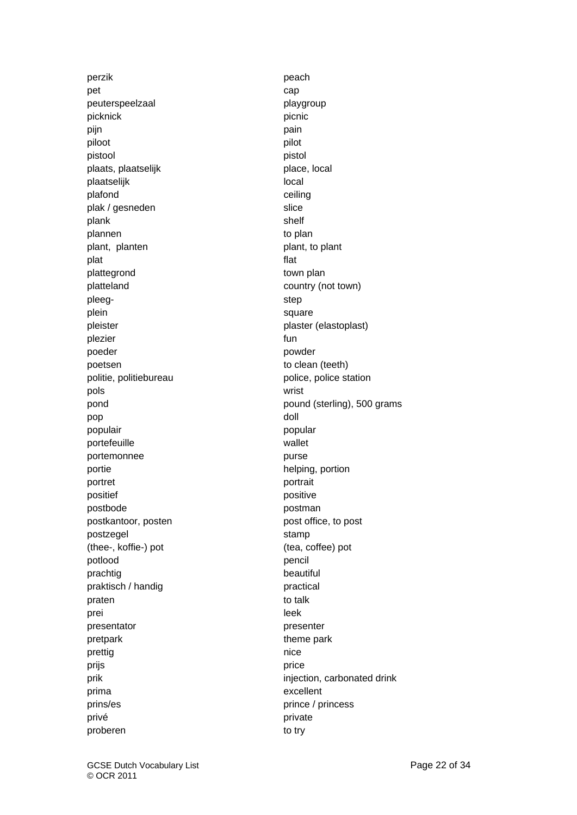perzik bereik besteht in de eerste peach of the peach of the peach of the peach of the peach of the state of the  $p$ pet cap peuterspeelzaal playgroup picknick picnic picnic picnic picnic picnic picnic picnic picnic picnic picnic picnic picnic picnic picnic picnic picnic picnic picnic picnic picnic picnic picnic picnic picnic picnic picnic picnic picnic picnic picnic pic pijn pain behavior of the pain pain behavior of the pain behavior of the pain behavior of the pain piloot piloot pilot pilot pilot pilot pilot pilot pilot pilot pilot pilot pilot pilot pilot pilot pilot pilot p pistool pistol plaats, plaatselijk place, local plaatselijk local van die besteld van die besteld van die besteld van die besteld van die besteld van die best plafond ceiling plak / gesneden slice plank shelf plannen to plan plant, planten plant, being plant, to plant plat **flat** plattegrond town plan platteland country (not town) pleeg- step step step plein square square pleister **plaster** (elastoplast) plezier function of the set of the set of the set of the set of the set of the set of the set of the set of the poeder powder poetsen to clean (teeth) politie, politiebureau police, police, police station pols wrist pop doll and a series of the series of the series of the series of the series of the series of the series of t populair popular portefeuille wallet portemonnee purse purse portie helping, portion portret portret portrait positief **positive** positive postbode **postbode** postman postkantoor, posten post office, to post postzegel stamp (thee-, koffie-) pot (tea, coffee) pot potlood **pencil** prachtig beautiful praktisch / handig practical praten to talk prei leek van die beskomstelling in die beskomstelling in die beskomstelling in die beskomstelling in die besk presentator presenter pretpark theme park prettig nice prijs price prima excellent prins/es prince / princess privé **private** proberen to try

pond pound (sterling), 500 grams prik injection, carbonated drink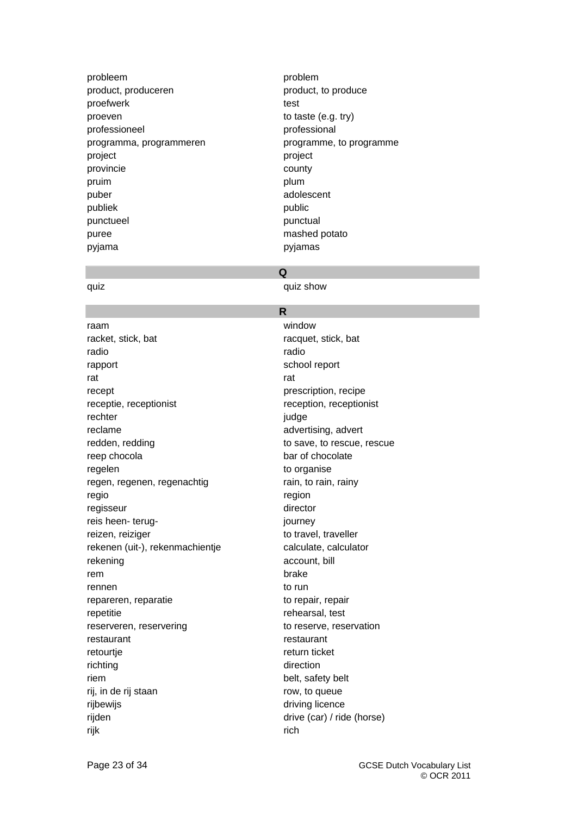- probleem problem product, produceren product, to produce proefwerk test proeven to taste (e.g. try) professioneel professional programma, programmeren programme, to programme project project provincie county pruim pruim plum puber adolescent publiek **public** punctueel **punctuel** punctual puree mashed potato pyjama pyjamas
- 

### **Q**

quiz quiz show

### **R**

raam window racket, stick, bat racquet, stick, bat radio radio rapport and report school report rat **rat** and *research* the contract of the contract of the contract of the contract of the contract of the contract of the contract of the contract of the contract of the contract of the contract of the contract of the c recept prescription, recipe receptie, receptionist reception, receptionist rechter in der große gegen der große gegen der große gegen der große gegen der große gegen der gegen der gegen<br>Gegen der gegen der gegen der gegen der gegen der gegen der gegen den gegen der gegen der gegen der gegen der reclame advertising, advertising, advertising, advertising, advertising, advertising, advertising, and redden, redding to save, to rescue, rescue reep chocola bar of chocolate regelen to organise regen, regenen, regenachtig rain, to rain, rainy regio region regisseur director reis heen- terug-<br>
iourney reizen, reiziger to travel, traveller rekenen (uit-), rekenmachientje calculate, calculator rekening account, bill rem brake brake brake brake brake brake brake brake brake brake brake brake brake brake brake brake brake brake rennen to run and to run to run to run to run to run to run to run to run to run to run to run to run to run to run to run to run to run to run to run to run to run to run to run to run to run to run to run to run to run t repareren, reparatie to repair, repair repetitie rehearsal, test reserveren, reservering to reserve, reservation restaurant restaurant retourtje return ticket richting direction riem belt, safety belt rij, in de rij staan row, to queue rijbewijs driving licence rijden drive (car) / ride (horse) rijk te beste in de oarden in de oarden in de oarden in de oarden in de oarden in de oarden in de oarden in de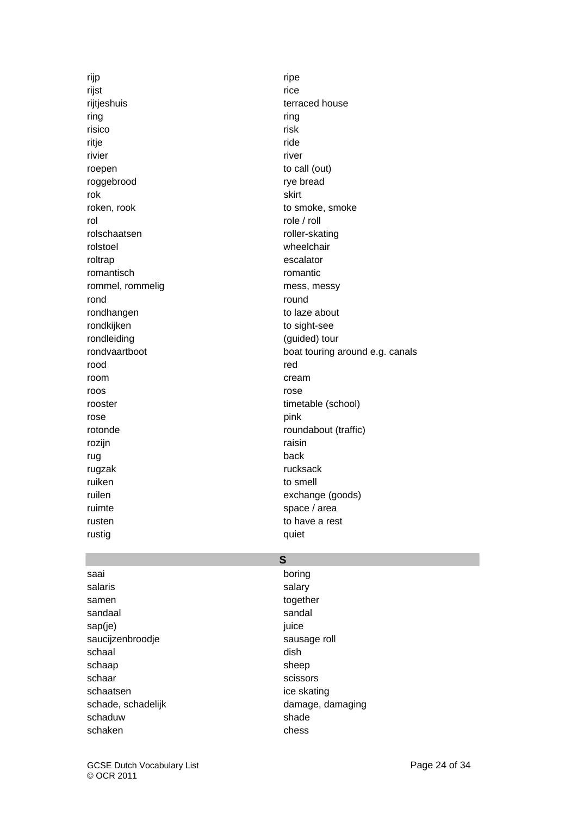rijp ripe rijst rijst in de eerste koningste koningste koningste koningste koningste koningste koningste koningste konin rijtjeshuis terraced house ring ring risico risk ritje en die beskrywering is die staat die koningste konings of die konings of die konings of die konings of d rivier **rivier rivier rivier** roepen to call (out) roggebrood roggebrood rye bread rok skirt roken, rook to smoke, smoke rol role / roll rolschaatsen roller-skating rolstoel wheelchair roltrap escalator romantisch romantic rommel, rommelig mess, messy rond **round round** rondhangen to laze about rondkijken to sight-see rondleiding (guided) tour rood rood **reduces** and reduce the set of the set of the set of the set of the set of the set of the set of the set of the set of the set of the set of the set of the set of the set of the set of the set of the set of the room cream cream cream cream cream cream cream cream cream cream cream cream cream cream cream cream cream cream cream cream cream cream cream cream cream cream cream cream cream cream cream cream cream cream cream cream c roos rose rooster timetable (school) rose pink rozijn in de een algebruik van de begin de een algebruik van de begin de een algebruik van de begin de een alg rug back rugzak rucksack ruiken to smell ruilen exchange (goods) ruimte space / area rusten to have a rest rustig quiet

rondvaartboot boat touring around e.g. canals rotonde roundabout (traffic)

### **S**

saai boring boring salaris **salaris** salary samen together sandaal sandaal sandal sandal sandal sandal sandal sandal sandal sandal sandal sandal sandal sandal sandal sandal sandal sandal sandal sandal sandal sandal sandal sandal sandal sandal sandal sandal sandal sandal sandal san sap(je) juice saucijzenbroodje sausage roll schaal dish schaap sheep sheep schaar scissors scissors scissors schaatsen ice skating is a strategies of the skating in the skating in the skating in the skating in the skating schaduw shade shade schaken chess chess

schade, schadelijk damage, damaging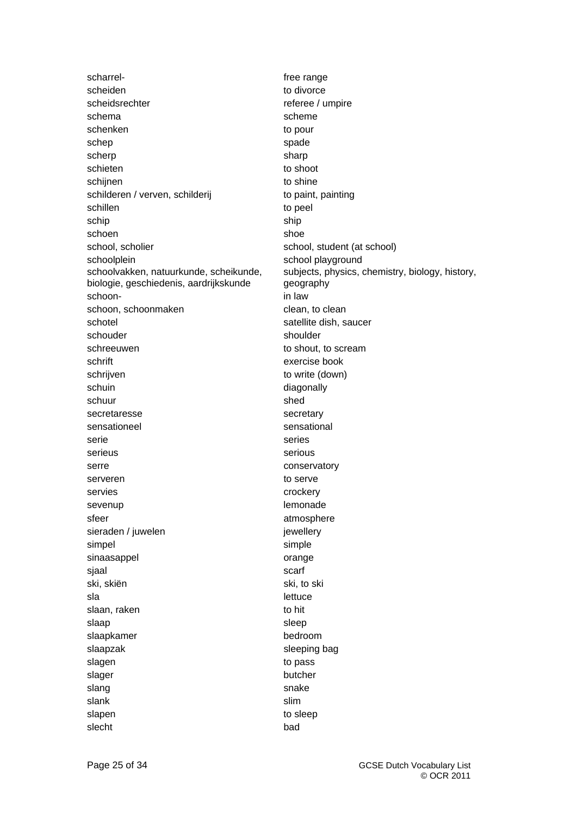scharrel-<br>  $\qquad \qquad$  free range scheiden to divorce scheidsrechter referee / umpire schema scheme scheme scheme scheme scheme scheme scheme scheme scheme scheme scheme scheme scheme scheme schem schenken to pour to pour schep spade spade spade scherp sharp sharp schieten to shoot schijnen to shine schilderen / verven, schilderij to paint, painting schillen to peel schip ship schoen shoe school, scholier school, student (at school) schoolplein school playground schoolvakken, natuurkunde, scheikunde, biologie, geschiedenis, aardrijkskunde schoon- in law schoon, schoonmaken clean, to clean schotel schotel schotel schotel satellite dish, saucer schouder shoulder shoulder schreeuwen to shout, to scream schrift exercise book schrijven to write (down) schuin diagonally schuur shed secretaresse secretary sensationeel sensational serie series serieus serious serious serre conservatory serveren to serve servies crockery sevenup lemonade sfeer atmosphere atmosphere sieraden / juwelen in die verschieden in die gewellery simpel simple sinaasappel **orange** sjaal scarf is a strong scarf scarf in the scarf scarf is a second scarf scarf ski, skiën ski, to ski sla lettuce slaan, raken to hit slaap slaap sleep sleep sleep sleep sleep sleep sleep sleep sleep sleep sleep sleep sleep sleep sleep sleep sleep sleep sleep sleep sleep sleep sleep sleep sleep sleep sleep sleep sleep sleep sleep sleep sleep sleep sleep slaapkamer bedroom bedroom slaapzak sleeping bag slagen to pass and the pass of the pass of the pass of the pass of the pass of the pass of the pass of the pass slager butcher slang snake snake snake slank slank slim slapen to sleep

subjects, physics, chemistry, biology, history, geography slecht bad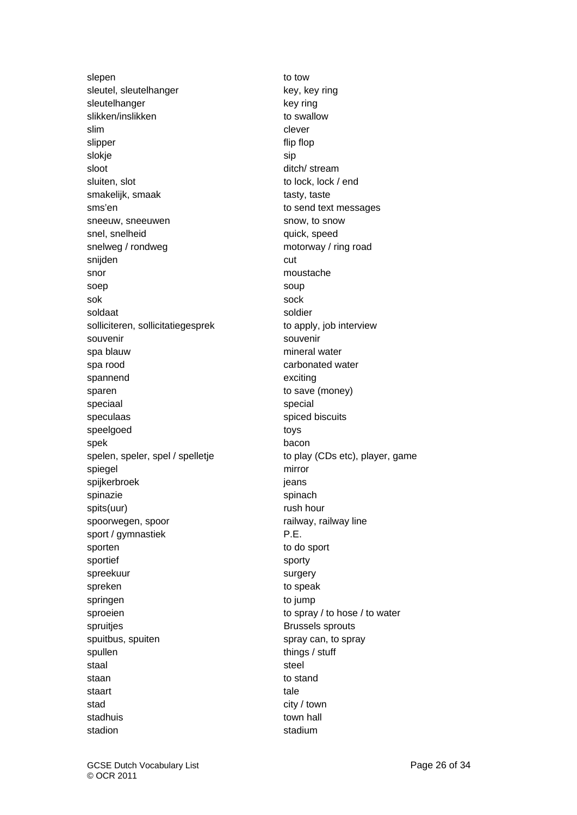slepen to tow sleutel, sleutelhanger key, key ring sleutelhanger key ring slikken/inslikken to swallow slim clever slipper flip flop slokje sip sloot ditch/ stream sluiten, slot to lock, lock / end smakelijk, smaak tasty, taste sms'en to send text messages sneeuw, sneeuwen snow, to snow snel, snelheid quick, speed snelweg / rondweg motorway / ring road snijden cut snor moustache moustache soep soup soup soup sok sock sock sock sock soldaat soldier solliciteren, sollicitatiegesprek to apply, job interview souvenir souvenir spa blauw mineral water spa rood carbonated water spannend exciting sparen to save (money) speciaal special special special special speculaas spiced biscuits speelgoed toys spek bacon spelen, speler, spel / spelletje to play (CDs etc), player, game spiegel mirror spijkerbroek in die eerste gebied is die gebied van die gebied is die gebied van die gebied van die gebied van die gebied van die gebied van die gebied van die gebied van die gebied van die gebied van die gebied van die ge spinazie spinach spinach spinach spinach spinach spinach spinach spinach spinach spinach spinach spinach spinach spinach spinach spinach spinach spinach spinach spinach spinach spinach spinach spinach spinach spinach spina spits(uur) rush hour spoorwegen, spoor railway, railway line sport / gymnastiek P.E. sporten to do sport sportief sporties and sporty spreekuur surgery spreken to speak springen to jump sproeien to spray / to hose / to water spruitjes **Brussels** sprouts spuitbus, spuiten spray can, to spray spullen things / stuff staal staat is a steel steel steel steel steel steel steel steel steel steel steel steel steel steel steel ste staan to stand staart tale is a staart tale of the state of the state of the state of the state of the state of the state of the state of the state of the state of the state of the state of the state of the state of the state of the stat stad city / town stadhuis town hall stadion stadium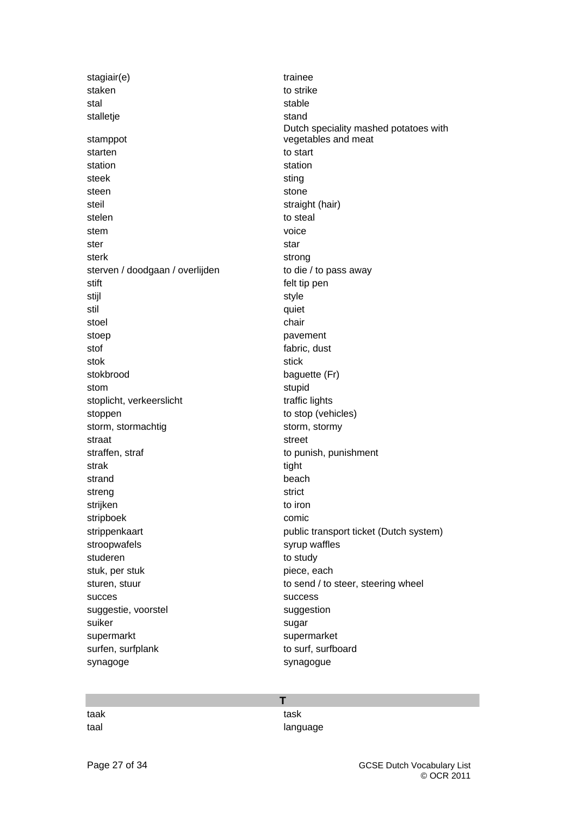stagiair(e) trainee staken to strike stal stable stalletje stand stamppot starten to start station station station steek sting sting sting sting steen stone stone stone steil straight (hair) stelen to steal stem voice voice ster start in the start start start start in the start start in the start start in the start sterk sterk strong sterven / doodgaan / overlijden to die / to pass away stift felt tip pen stijl in de oorlog in de oorlog in de oorlog in de oorlog in de oorlog in de oorlog in de oorlog in de oorlog stil quiet stoel **chair** chair stoep **pavement** stof fabric, dust stok stok stick stok stick stokbrood baguette (Fr) stom stupid stoplicht, verkeerslicht traffic lights stoppen to stop (vehicles) storm, stormachtig storm, stormy straat straat street in the street street street street street street in the street street street street in the street street in the street street in the street street in the street street in the street street in the stree straffen, straf to punish, punishment strak tight that the strake the strake tight that the strake  $t$ strand beach beach beach beach streng streng strict strijken to iron to iron to iron to iron to iron to iron to iron to iron to iron to iron to iron to iron to iron stripboek comic stroopwafels stroopwafels syrup waffles studeren to study to study stuk, per stuk piece, each succes success success success success success  $\sim$ suggestie, voorstel suggestion suiker sugar sugar sugar sugar sugar sugar sugar sugar sugar sugar sugar sugar sugar sugar sugar sugar sugar sugar sugar sugar sugar sugar sugar sugar sugar sugar sugar sugar sugar sugar sugar sugar sugar sugar sugar sugar supermarkt supermarket surfen, surfplank to surf, surfboard synagoge synagogue

Dutch speciality mashed potatoes with vegetables and meat strippenkaart **public transport ticket (Dutch system)** sturen, stuur to send / to steer, steering wheel

**T** 

| taak | task     |
|------|----------|
| taal | language |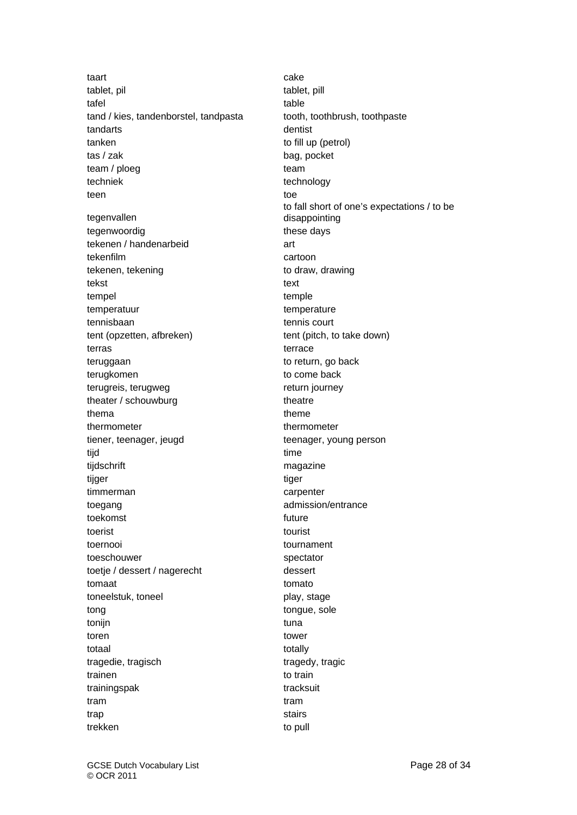taart is a cake cake taar aan die begin in die begin die koning van die begin die begin die begin die begin va tablet, pil tablet, pill tablet, pill tafel table table table tand / kies, tandenborstel, tandpasta tooth, toothbrush, toothpaste tandarts dentist tanken tanken to fill up (petrol) tas / zak bag, pocket team / ploeg team techniek technology teen toerstelling and the state of the state of the state of the state of the state of the state of the state tegenvallen tegenwoordig these days tekenen / handenarbeid art tekenfilm cartoon tekenen, tekening to draw, drawing tekst text text tempel temple temperatuur temperatuur temperature tennisbaan tennis court tent (opzetten, afbreken) tent (pitch, to take down) terras terrace terrace teruggaan to return, go back terugkomen to come back terugreis, terugweg return journey theater / schouwburg theatre thema theme theme theme thermometer thermometer thermometer tiener, teenager, jeugd teenager, young person tijd tijd time om de eerste koningste konings onder de eerste konings onder de eerste konings onder de eerste tijdschrift magazine tijger tijden is de oorlede tijden is de oorlede tijden is de oorlede tijden is de oorlede tijden is de oorled timmerman carpenter toegang admission/entrance toekomst and the state of the state of the state of the state of the state of the state of the state of the state of the state of the state of the state of the state of the state of the state of the state of the state of t toerist toerist tourist toernooi tournament toeschouwer spectator toetje / dessert / nagerecht dessert tomaat tomato toneelstuk, toneel play, stage tong tongue, sole tonijn tuna komponent komponent komponent komponent komponent komponent komponent komponent komponent komponen toren tower totaal totally totally totally totally totally totally totally totally totally totally totally totally totally tragedie, tragisch tragedy, tragic trainen trainen to train trainingspak tracksuit tram tram trap stairs and trap stairs and trap stairs stairs and trap stairs stairs and trap stairs stairs trekken to pull to pull to pull

to fall short of one's expectations / to be disappointing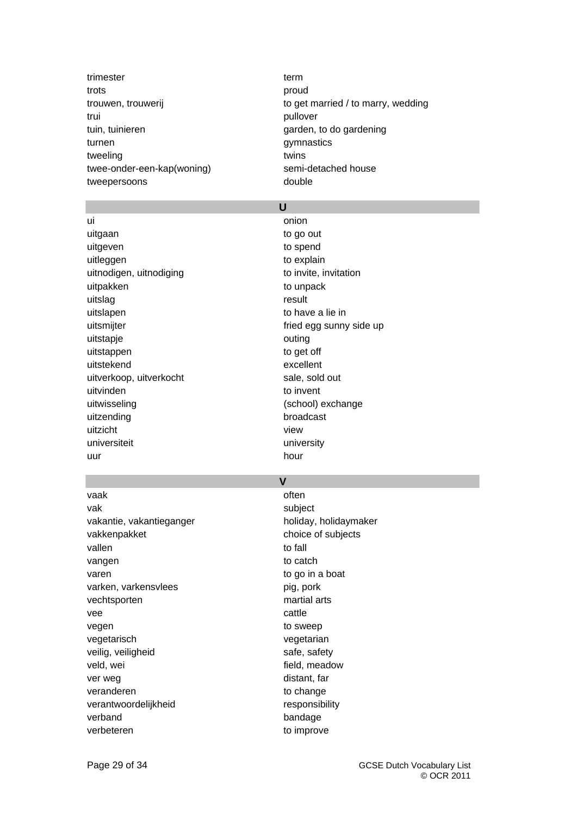trimester term term trots **proud** trui pullover tuin, tuinieren garden, to do gardening turnen gymnastics tweeling twins twee-onder-een-kap(woning) semi-detached house tweepersoons double

trouwen, trouwerij to get married / to marry, wedding

### **U**

ui **ui comme anno 1976. Il contrattura conion** uitgaan to go out uitgeven to spend to spend uitleggen to explain uitnodigen, uitnodiging to invite, invitation uitpakken to unpack uitslag result uitslapen to have a lie in uitsmijter fried egg sunny side up uitstapje outing uitstappen to get off uitstekend excellent uitverkoop, uitverkocht sale, sold out uitvinden to invent uitwisseling (school) exchange uitzending broadcast uitzicht view universiteit university uur hour hour hour hour hour

### **V**

vaak often waar often waar often waar often waar often waar often waar often waar often waar often waar often w vak subject vakantie, vakantieganger en boliday, holidaymaker vakkenpakket choice of subjects vallen to fall and the set of the set of the set of the set of the set of the set of the set of the set of the vangen to catch varen varen to go in a boat varken, varkensvlees pig, pork vechtsporten martial arts vee cattle and controlled by the cattle vegen to sweep vegetarisch vegetarian veilig, veiligheid safe, safety veld, wei and the set of the set of the field, meadow ver weg distant, far veranderen to change verantwoordelijkheid responsibility verband bandage verbeteren to improve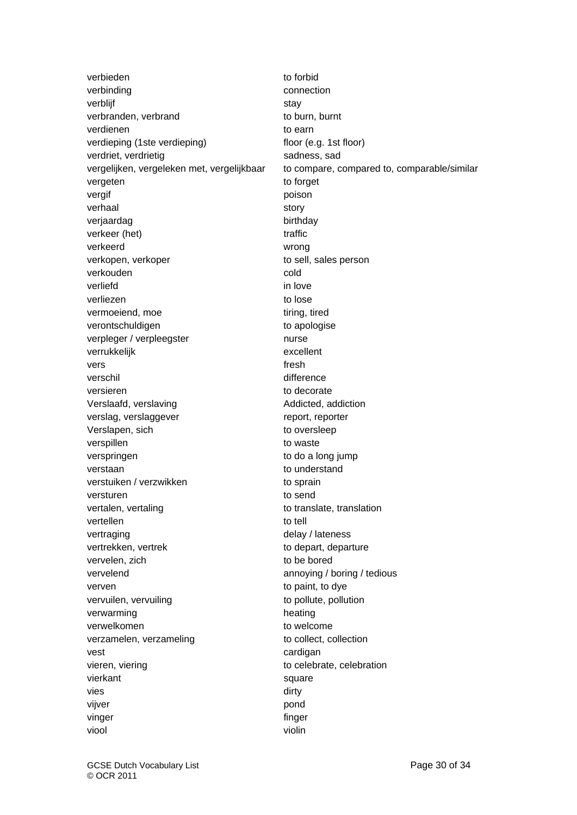verbieden to forbid verbinding verbinding connection verblijf stay of the stay stay stay verbranden, verbrand to burn, burnt verdienen andere to earn to earn to earn to earn to earn to earn to earn to earn to earn to earn to earn to earn to earn to earn to earn to earn to earn to earn to earn to earn to earn to earn to earn to earn to earn to ea verdieping (1ste verdieping) floor (e.g. 1st floor) verdriet, verdrietig sadness, sadness, sadness, sadness, sadness, sadness, sadness, sadness, sadness, sadness, sadness, sadness, sadness, sadness, sadness, sadness, sadness, sadness, sadness, sadness, sadness, sadness, sad vergeten to forget vergif poison and poison and poison and poison and poison and poison and poison and poison and poison and poison verhaal story story story verjaardag birthday verkeer (het) en andere traffic verkeerd wrong verkopen, verkoper to sell, sales person verkouden and cold verliefd in love verliezen besteht in de een aan de besteld verliezen to lose vermoeiend, moe tiring, tired verontschuldigen verontschuldigen to apologise verpleger / verpleegster nurse verrukkelijk excellent vers **fresh** verschil verschil and difference versieren en die versieren to decorate Verslaafd, verslaving and all and addicted, addiction verslag, verslaggever report, reporter Verslapen, sich to oversleep verspillen verspillen to waste verspringen to do a long jump verstaan verstaan to understand verstuiken / verzwikken to sprain versturen to send vertalen, vertaling vertaling to translate, translation vertellen to tell vertraging vertraging vertraging vertraging vertrekken, vertrek to depart, departure vervelen, zich to be bored vervelend annoying / boring / tedious verven verven to paint, to dye vervuilen, vervuiling to pollute, pollution verwarming beating heating verwelkomen entry to welcome verzamelen, verzameling version to collect, collection vest cardigan vieren, viering to celebrate, celebration vierkant square square vies dirty vijver **pond** vinger finger finger viool violin

vergelijken, vergeleken met, vergelijkbaar to compare, compared to, comparable/similar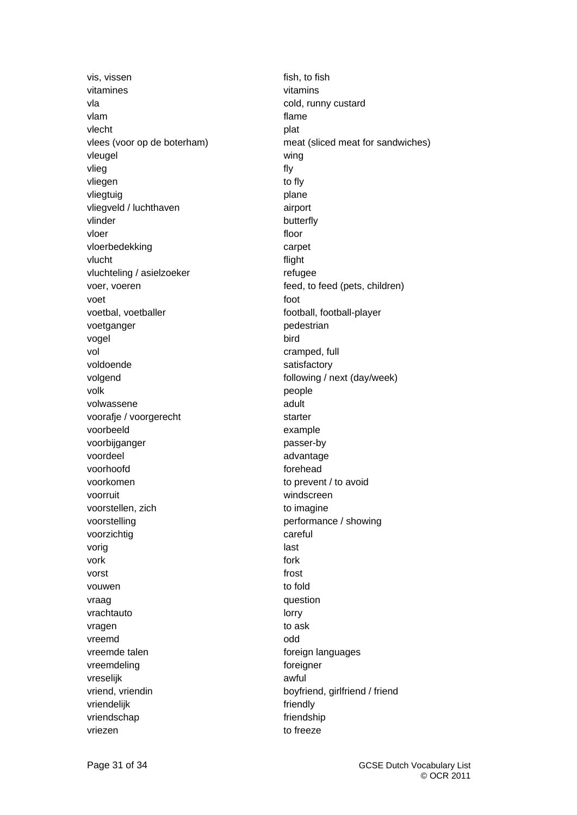vis, vissen fish, to fish vitamines vitamins vla cold, runny custard vlam **views** that the contract of the contract of the contract of the contract of the contract of the contract of the contract of the contract of the contract of the contract of the contract of the contract of the contract vlecht plat vleugel wing vlieg **fly** vliegen to fly vliegtuig **plane** vliegveld / luchthaven airport vlinder butterfly vloer **floor** vloerbedekking carpet vlucht flight vluchteling / asielzoeker refugee voer, voeren feed, to feed (pets, children) voet tot a state foot to the state of the state of the state of the state of the state of the state of the state of the state of the state of the state of the state of the state of the state of the state of the state of th voetbal, voetballer football, football-player voetganger **pedestrian** vogel bird vol examped, full and the cramped, full and the cramped, full voldoende satisfactory volgend volgend  $\blacksquare$ volk behavior of the people of the people of the people of the state of the state of the people volwassene adult voorafje / voorgerecht starter voorbeeld example voorbijganger **passer-by** voordeel advantage voordeel advantage voordeel advantage voordeel ander advantage voordeel advantage voordeel voorhoofd forehead voorkomen to prevent / to avoid voorruit windscreen voorstellen, zich to imagine voorstelling voorstelling performance / showing voorzichtig careful vorig and a state of the state of the state of the state of the state of the state of the state of the state o vork to the contract of the contract of the contract of the contract of the contract of the contract of the co vorst to the contract of the contract of the contract of the contract of the contract of the contract of the contract of the contract of the contract of the contract of the contract of the contract of the contract of the c vouwen to fold vraag vraag vraag vraag vraag vraag vraag vraag vraag vraag vraag vraag vraag vraag vraag vraag vraag vraag v vrachtauto lorry vragen to ask vreemd odd vreemde talen foreign languages vreemdeling foreigner vreselijk awful vriend, vriendin boyfriend, girlfriend / friend vriendelijk friendly vriendschap **friendship** friendship vriezen behalvet en die behalvet behalvet behalvet behalvet behalvet behalvet behalvet behalvet behalvet behalv

vlees (voor op de boterham) meat (sliced meat for sandwiches)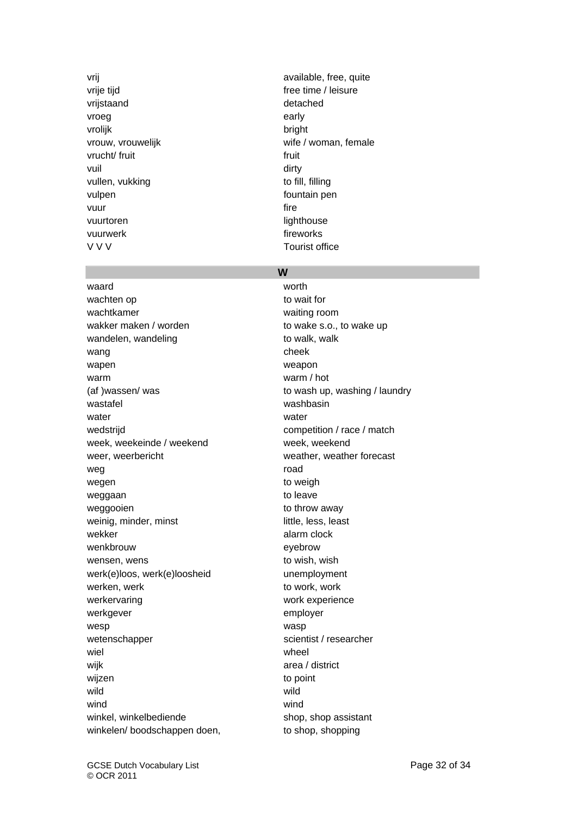vrije tijd free time / leisure vrijstaand detached vroeg early and the early early the early early the early early the early early the early early the early early  $\sim$ vrolijk bright vrucht/ fruit the state of the state of the state of the state of the state of the state of the state of the state of the state of the state of the state of the state of the state of the state of the state of the state of vuil dirty and the state of the state of the state of the state of the state of the state of the state of the s vullen, vukking to fill, filling vulpen vulpen fountain pen vuur saari koossa on muuta kuni koossa on muuta koossa on muuta koossa on muuta koossa on muuta koossa on muut vuurtoren lighthouse vuurwerk **fireworks** V V V V V Tourist office

vrij available, free, quite vrouw, vrouwelijk wife / woman, female

### **W**

waard worth worth worth worth worth worth worth worth worth worth worth worth worth worth worth worth with the  $\sim$ wachten op to wait for wachtkamer waiting room wakker maken / worden to wake s.o., to wake up wandelen, wandeling example to walk, walk wang cheek wapen weapon warm warm / hot (af )wassen/ was to wash up, washing / laundry wastafel washbasin water water water wedstriid verticles were competition / race / match week, weekeinde / weekend week, weekend weer, weerbericht weather, weather forecast weg **road** wegen to weight weight weight weight weight weight weight weight weight weight weight weight weight weight weigh weggaan to leave weggooien to throw away weinig, minder, minst little, less, least wekker alarm clock wenkbrouw eyebrow wensen, wens to wish, wish werk(e)loos, werk(e)loosheid unemployment werken, werk to work, work werken, werk to work, work werkervaring work experience werkgever employer wesp was a measured was a wasp wetenschapper scientist / researcher wiel **wiel** wheel wijk area / district wijzen to point wild **wild** wind **wind** winkel, winkelbediende shop, shop, shop assistant winkelen/ boodschappen doen, to shop, shopping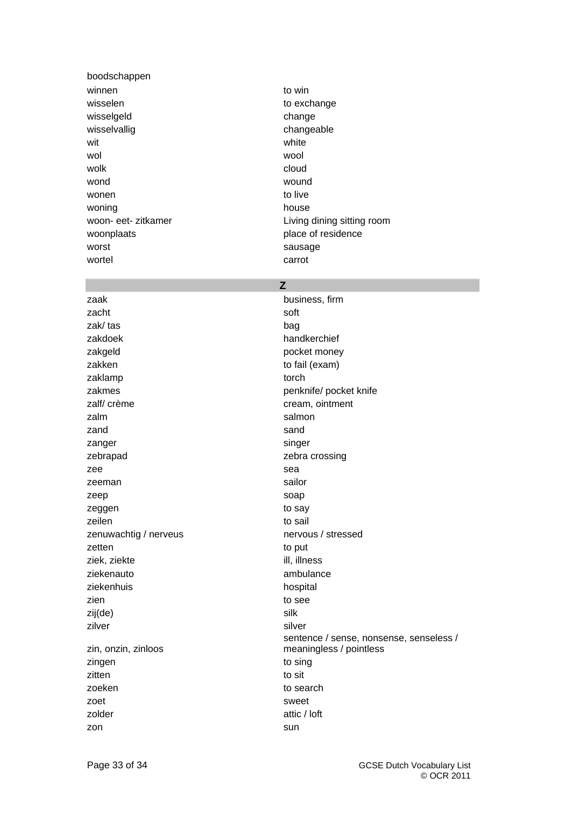boodschappen winnen to win wisselen wisselen to exchange wisselgeld change wisselvallig changeable changeable wit white white white white white white white white  $\sim$ wol wool wolk and the cloud cloud of the cloud wond wound wound wound wound wound wound wound wound wound wound wound wound wound wound wound wound  $\sim$ wonen to live woning house house woonplaats woonplaats place of residence worst worst sausage wortel extensive carrot carrot

woon- eet- zitkamer Living dining sitting room

### **Z**

zaak business, firm zacht soft zak/ tas bag zakdoek handkerchief zakgeld **pocket money** zakken to fail (exam) zaklamp torch zakmes **penknife/** pocket knife zalf/ crème cream, ointment zalm salmon zand sand zanger singer singer zebrapad zebra crossing zee sea zeeman sailor zeep soap zeggen to say zeilen aus auch der Einbergreifen aus der Einbergreifen aus der Einstellung aus der Einstellung aus der Einstell zenuwachtig / nerveus nervous / stressed zetten to put ziek, ziekte ill, illness ziekenauto ambulance ziekenhuis hospital zien die besteht die eine staat die see to see zij(de) silk zilver silver zin, onzin, zinloos zingen to sing zitten to situation and to situation of the situation of the situation of the situation of the situation of the situation of the situation of the situation of the situation of the situation of the situation of the situatio zoeken behavioren behavioren behavioren behavioren behavioren behavioren behavioren behavioren behavioren beha zoet sweet zolder attic / loft zon sun

sentence / sense, nonsense, senseless / meaningless / pointless